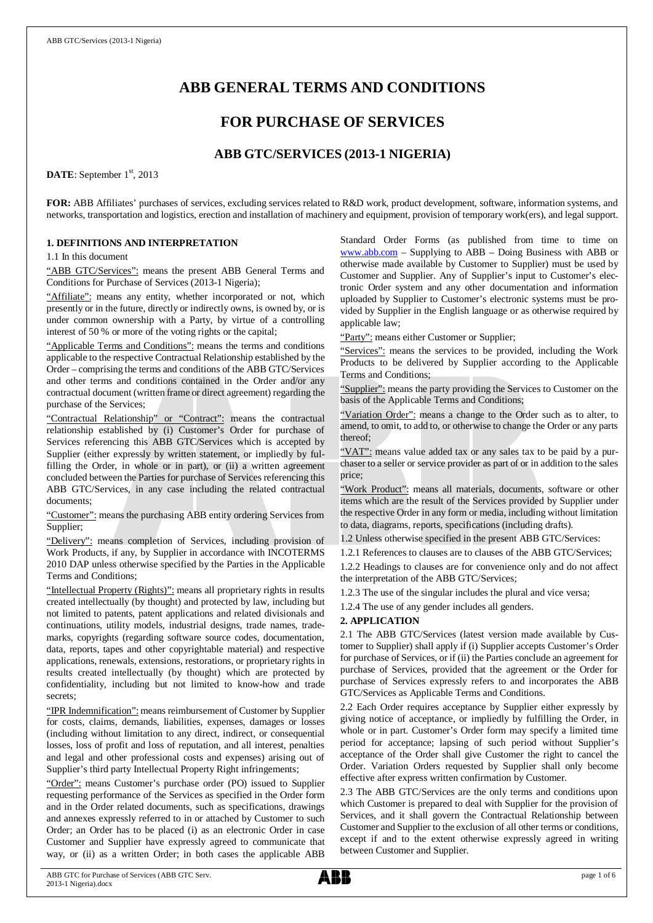# **ABB GENERAL TERMS AND CONDITIONS**

# **FOR PURCHASE OF SERVICES**

# **ABB GTC/SERVICES (2013-1 NIGERIA)**

DATE: September 1<sup>st</sup>, 2013

**FOR:** ABB Affiliates' purchases of services, excluding services related to R&D work, product development, software, information systems, and networks, transportation and logistics, erection and installation of machinery and equipment, provision of temporary work(ers), and legal support.

# **1. DEFINITIONS AND INTERPRETATION**

1.1 In this document

"ABB GTC/Services": means the present ABB General Terms and Conditions for Purchase of Services (2013-1 Nigeria);

"Affiliate": means any entity, whether incorporated or not, which presently or in the future, directly or indirectly owns, is owned by, or is under common ownership with a Party, by virtue of a controlling interest of 50 % or more of the voting rights or the capital;

"Applicable Terms and Conditions": means the terms and conditions applicable to the respective Contractual Relationship established by the Order – comprising the terms and conditions of the ABB GTC/Services and other terms and conditions contained in the Order and/or any contractual document (written frame or direct agreement) regarding the purchase of the Services;

"Contractual Relationship" or "Contract": means the contractual relationship established by (i) Customer's Order for purchase of Services referencing this ABB GTC/Services which is accepted by Supplier (either expressly by written statement, or impliedly by fulfilling the Order, in whole or in part), or (ii) a written agreement concluded between the Parties for purchase of Services referencing this ABB GTC/Services, in any case including the related contractual documents;

"Customer": means the purchasing ABB entity ordering Services from Supplier;

"Delivery": means completion of Services, including provision of Work Products, if any, by Supplier in accordance with INCOTERMS 2010 DAP unless otherwise specified by the Parties in the Applicable Terms and Conditions;

"Intellectual Property (Rights)": means all proprietary rights in results created intellectually (by thought) and protected by law, including but not limited to patents, patent applications and related divisionals and continuations, utility models, industrial designs, trade names, trademarks, copyrights (regarding software source codes, documentation, data, reports, tapes and other copyrightable material) and respective applications, renewals, extensions, restorations, or proprietary rights in results created intellectually (by thought) which are protected by confidentiality, including but not limited to know-how and trade secrets;

"IPR Indemnification": means reimbursement of Customer by Supplier for costs, claims, demands, liabilities, expenses, damages or losses (including without limitation to any direct, indirect, or consequential losses, loss of profit and loss of reputation, and all interest, penalties and legal and other professional costs and expenses) arising out of Supplier's third party Intellectual Property Right infringements;

"Order": means Customer's purchase order (PO) issued to Supplier requesting performance of the Services as specified in the Order form and in the Order related documents, such as specifications, drawings and annexes expressly referred to in or attached by Customer to such Order; an Order has to be placed (i) as an electronic Order in case Customer and Supplier have expressly agreed to communicate that way, or (ii) as a written Order; in both cases the applicable ABB

Standard Order Forms (as published from time to time on [www.abb.com](http://www.abb.com/) – Supplying to ABB – Doing Business with ABB or otherwise made available by Customer to Supplier) must be used by Customer and Supplier. Any of Supplier's input to Customer's electronic Order system and any other documentation and information uploaded by Supplier to Customer's electronic systems must be provided by Supplier in the English language or as otherwise required by applicable law;

"Party": means either Customer or Supplier;

"Services": means the services to be provided, including the Work Products to be delivered by Supplier according to the Applicable Terms and Conditions;

"Supplier": means the party providing the Services to Customer on the basis of the Applicable Terms and Conditions;

"Variation Order": means a change to the Order such as to alter, to amend, to omit, to add to, or otherwise to change the Order or any parts thereof;

"VAT": means value added tax or any sales tax to be paid by a purchaser to a seller or service provider as part of or in addition to the sales price;

"Work Product": means all materials, documents, software or other items which are the result of the Services provided by Supplier under the respective Order in any form or media, including without limitation to data, diagrams, reports, specifications (including drafts).

1.2 Unless otherwise specified in the present ABB GTC/Services:

1.2.1 References to clauses are to clauses of the ABB GTC/Services; 1.2.2 Headings to clauses are for convenience only and do not affect the interpretation of the ABB GTC/Services;

1.2.3 The use of the singular includes the plural and vice versa;

1.2.4 The use of any gender includes all genders.

#### **2. APPLICATION**

2.1 The ABB GTC/Services (latest version made available by Customer to Supplier) shall apply if (i) Supplier accepts Customer's Order for purchase of Services, or if (ii) the Parties conclude an agreement for purchase of Services, provided that the agreement or the Order for purchase of Services expressly refers to and incorporates the ABB GTC/Services as Applicable Terms and Conditions.

2.2 Each Order requires acceptance by Supplier either expressly by giving notice of acceptance, or impliedly by fulfilling the Order, in whole or in part. Customer's Order form may specify a limited time period for acceptance; lapsing of such period without Supplier's acceptance of the Order shall give Customer the right to cancel the Order. Variation Orders requested by Supplier shall only become effective after express written confirmation by Customer.

2.3 The ABB GTC/Services are the only terms and conditions upon which Customer is prepared to deal with Supplier for the provision of Services, and it shall govern the Contractual Relationship between Customer and Supplier to the exclusion of all other terms or conditions, except if and to the extent otherwise expressly agreed in writing between Customer and Supplier.

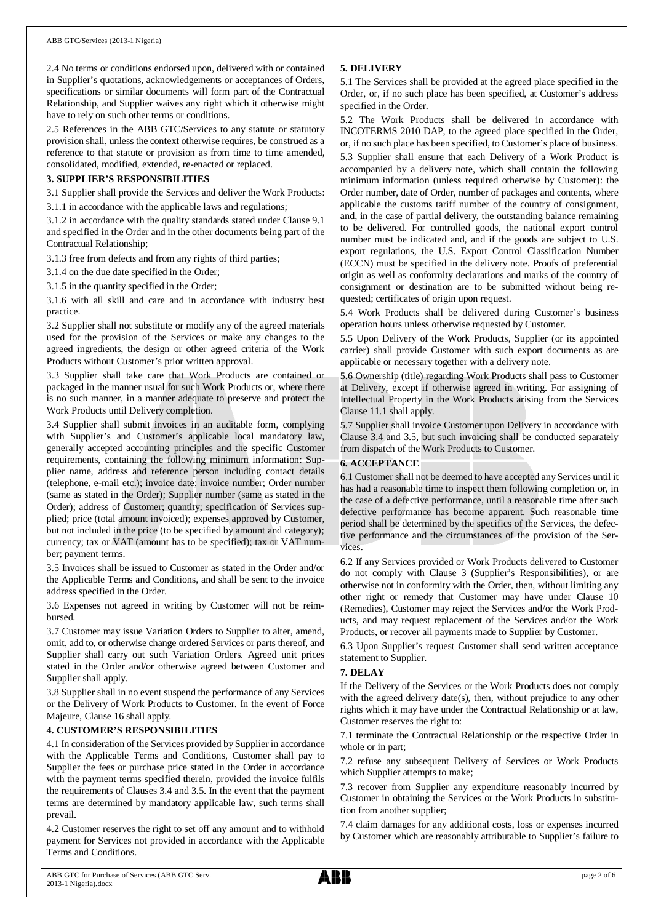2.4 No terms or conditions endorsed upon, delivered with or contained in Supplier's quotations, acknowledgements or acceptances of Orders, specifications or similar documents will form part of the Contractual Relationship, and Supplier waives any right which it otherwise might have to rely on such other terms or conditions.

2.5 References in the ABB GTC/Services to any statute or statutory provision shall, unless the context otherwise requires, be construed as a reference to that statute or provision as from time to time amended, consolidated, modified, extended, re-enacted or replaced.

#### **3. SUPPLIER'S RESPONSIBILITIES**

3.1 Supplier shall provide the Services and deliver the Work Products: 3.1.1 in accordance with the applicable laws and regulations;

3.1.2 in accordance with the quality standards stated under Clause 9.1 and specified in the Order and in the other documents being part of the

Contractual Relationship; 3.1.3 free from defects and from any rights of third parties;

3.1.4 on the due date specified in the Order;

3.1.5 in the quantity specified in the Order;

3.1.6 with all skill and care and in accordance with industry best practice.

3.2 Supplier shall not substitute or modify any of the agreed materials used for the provision of the Services or make any changes to the agreed ingredients, the design or other agreed criteria of the Work Products without Customer's prior written approval.

3.3 Supplier shall take care that Work Products are contained or packaged in the manner usual for such Work Products or, where there is no such manner, in a manner adequate to preserve and protect the Work Products until Delivery completion.

3.4 Supplier shall submit invoices in an auditable form, complying with Supplier's and Customer's applicable local mandatory law, generally accepted accounting principles and the specific Customer requirements, containing the following minimum information: Supplier name, address and reference person including contact details (telephone, e-mail etc.); invoice date; invoice number; Order number (same as stated in the Order); Supplier number (same as stated in the Order); address of Customer; quantity; specification of Services supplied; price (total amount invoiced); expenses approved by Customer, but not included in the price (to be specified by amount and category); currency; tax or VAT (amount has to be specified); tax or VAT number; payment terms.

3.5 Invoices shall be issued to Customer as stated in the Order and/or the Applicable Terms and Conditions, and shall be sent to the invoice address specified in the Order.

3.6 Expenses not agreed in writing by Customer will not be reimbursed.

3.7 Customer may issue Variation Orders to Supplier to alter, amend, omit, add to, or otherwise change ordered Services or parts thereof, and Supplier shall carry out such Variation Orders. Agreed unit prices stated in the Order and/or otherwise agreed between Customer and Supplier shall apply.

3.8 Supplier shall in no event suspend the performance of any Services or the Delivery of Work Products to Customer. In the event of Force Majeure, Clause 16 shall apply.

#### **4. CUSTOMER'S RESPONSIBILITIES**

4.1 In consideration of the Services provided by Supplier in accordance with the Applicable Terms and Conditions, Customer shall pay to Supplier the fees or purchase price stated in the Order in accordance with the payment terms specified therein, provided the invoice fulfils the requirements of Clauses 3.4 and 3.5. In the event that the payment terms are determined by mandatory applicable law, such terms shall prevail.

4.2 Customer reserves the right to set off any amount and to withhold payment for Services not provided in accordance with the Applicable Terms and Conditions.

# **5. DELIVERY**

5.1 The Services shall be provided at the agreed place specified in the Order, or, if no such place has been specified, at Customer's address specified in the Order.

5.2 The Work Products shall be delivered in accordance with INCOTERMS 2010 DAP, to the agreed place specified in the Order, or, if no such place has been specified, to Customer's place of business. 5.3 Supplier shall ensure that each Delivery of a Work Product is accompanied by a delivery note, which shall contain the following minimum information (unless required otherwise by Customer): the Order number, date of Order, number of packages and contents, where applicable the customs tariff number of the country of consignment, and, in the case of partial delivery, the outstanding balance remaining to be delivered. For controlled goods, the national export control number must be indicated and, and if the goods are subject to U.S. export regulations, the U.S. Export Control Classification Number (ECCN) must be specified in the delivery note. Proofs of preferential origin as well as conformity declarations and marks of the country of consignment or destination are to be submitted without being requested; certificates of origin upon request.

5.4 Work Products shall be delivered during Customer's business operation hours unless otherwise requested by Customer.

5.5 Upon Delivery of the Work Products, Supplier (or its appointed carrier) shall provide Customer with such export documents as are applicable or necessary together with a delivery note.

5.6 Ownership (title) regarding Work Products shall pass to Customer at Delivery, except if otherwise agreed in writing. For assigning of Intellectual Property in the Work Products arising from the Services Clause 11.1 shall apply.

5.7 Supplier shall invoice Customer upon Delivery in accordance with Clause 3.4 and 3.5, but such invoicing shall be conducted separately from dispatch of the Work Products to Customer.

#### **6. ACCEPTANCE**

6.1 Customer shall not be deemed to have accepted any Services until it has had a reasonable time to inspect them following completion or, in the case of a defective performance, until a reasonable time after such defective performance has become apparent. Such reasonable time period shall be determined by the specifics of the Services, the defective performance and the circumstances of the provision of the Services.

6.2 If any Services provided or Work Products delivered to Customer do not comply with Clause 3 (Supplier's Responsibilities), or are otherwise not in conformity with the Order, then, without limiting any other right or remedy that Customer may have under Clause 10 (Remedies), Customer may reject the Services and/or the Work Products, and may request replacement of the Services and/or the Work Products, or recover all payments made to Supplier by Customer.

6.3 Upon Supplier's request Customer shall send written acceptance statement to Supplier.

#### **7. DELAY**

If the Delivery of the Services or the Work Products does not comply with the agreed delivery date(s), then, without prejudice to any other rights which it may have under the Contractual Relationship or at law, Customer reserves the right to:

7.1 terminate the Contractual Relationship or the respective Order in whole or in part;

7.2 refuse any subsequent Delivery of Services or Work Products which Supplier attempts to make;

7.3 recover from Supplier any expenditure reasonably incurred by Customer in obtaining the Services or the Work Products in substitution from another supplier;

7.4 claim damages for any additional costs, loss or expenses incurred by Customer which are reasonably attributable to Supplier's failure to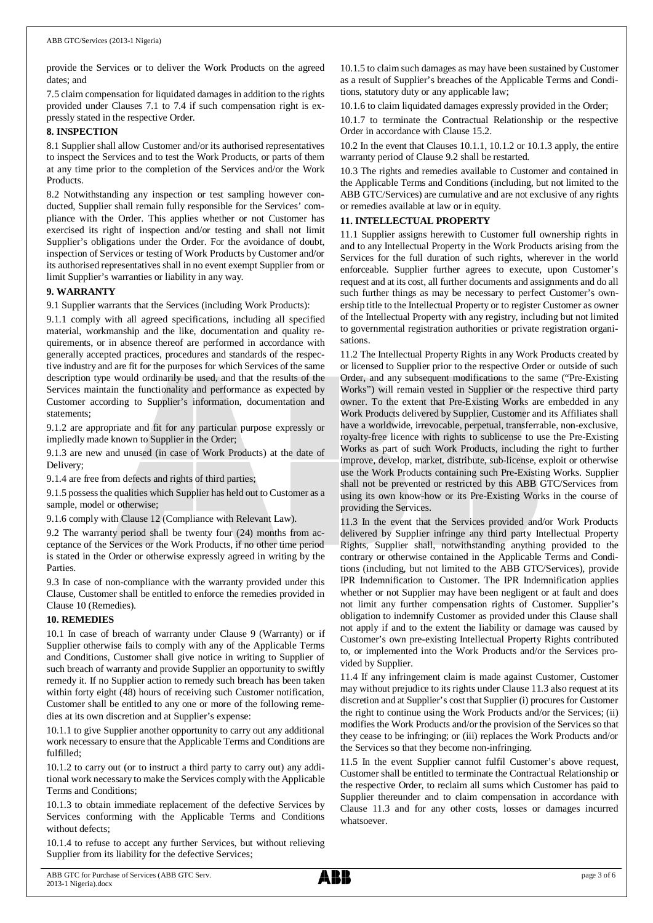provide the Services or to deliver the Work Products on the agreed dates; and

7.5 claim compensation for liquidated damages in addition to the rights provided under Clauses 7.1 to 7.4 if such compensation right is expressly stated in the respective Order.

#### **8. INSPECTION**

8.1 Supplier shall allow Customer and/or its authorised representatives to inspect the Services and to test the Work Products, or parts of them at any time prior to the completion of the Services and/or the Work Products.

8.2 Notwithstanding any inspection or test sampling however conducted, Supplier shall remain fully responsible for the Services' compliance with the Order. This applies whether or not Customer has exercised its right of inspection and/or testing and shall not limit Supplier's obligations under the Order. For the avoidance of doubt, inspection of Services or testing of Work Products by Customer and/or its authorised representatives shall in no event exempt Supplier from or limit Supplier's warranties or liability in any way.

#### **9. WARRANTY**

9.1 Supplier warrants that the Services (including Work Products):

9.1.1 comply with all agreed specifications, including all specified material, workmanship and the like, documentation and quality requirements, or in absence thereof are performed in accordance with generally accepted practices, procedures and standards of the respective industry and are fit for the purposes for which Services of the same description type would ordinarily be used, and that the results of the Services maintain the functionality and performance as expected by Customer according to Supplier's information, documentation and statements;

9.1.2 are appropriate and fit for any particular purpose expressly or impliedly made known to Supplier in the Order;

9.1.3 are new and unused (in case of Work Products) at the date of Delivery;

9.1.4 are free from defects and rights of third parties;

9.1.5 possess the qualities which Supplier has held out to Customer as a sample, model or otherwise;

9.1.6 comply with Clause 12 (Compliance with Relevant Law).

9.2 The warranty period shall be twenty four (24) months from acceptance of the Services or the Work Products, if no other time period is stated in the Order or otherwise expressly agreed in writing by the Parties.

9.3 In case of non-compliance with the warranty provided under this Clause, Customer shall be entitled to enforce the remedies provided in Clause 10 (Remedies).

#### **10. REMEDIES**

10.1 In case of breach of warranty under Clause 9 (Warranty) or if Supplier otherwise fails to comply with any of the Applicable Terms and Conditions, Customer shall give notice in writing to Supplier of such breach of warranty and provide Supplier an opportunity to swiftly remedy it. If no Supplier action to remedy such breach has been taken within forty eight (48) hours of receiving such Customer notification, Customer shall be entitled to any one or more of the following remedies at its own discretion and at Supplier's expense:

10.1.1 to give Supplier another opportunity to carry out any additional work necessary to ensure that the Applicable Terms and Conditions are fulfilled;

10.1.2 to carry out (or to instruct a third party to carry out) any additional work necessary to make the Services comply with the Applicable Terms and Conditions;

10.1.3 to obtain immediate replacement of the defective Services by Services conforming with the Applicable Terms and Conditions without defects;

10.1.4 to refuse to accept any further Services, but without relieving Supplier from its liability for the defective Services;

10.1.5 to claim such damages as may have been sustained by Customer as a result of Supplier's breaches of the Applicable Terms and Conditions, statutory duty or any applicable law;

10.1.6 to claim liquidated damages expressly provided in the Order;

10.1.7 to terminate the Contractual Relationship or the respective Order in accordance with Clause 15.2.

10.2 In the event that Clauses 10.1.1, 10.1.2 or 10.1.3 apply, the entire warranty period of Clause 9.2 shall be restarted.

10.3 The rights and remedies available to Customer and contained in the Applicable Terms and Conditions (including, but not limited to the ABB GTC/Services) are cumulative and are not exclusive of any rights or remedies available at law or in equity.

#### **11. INTELLECTUAL PROPERTY**

11.1 Supplier assigns herewith to Customer full ownership rights in and to any Intellectual Property in the Work Products arising from the Services for the full duration of such rights, wherever in the world enforceable. Supplier further agrees to execute, upon Customer's request and at its cost, all further documents and assignments and do all such further things as may be necessary to perfect Customer's ownership title to the Intellectual Property or to register Customer as owner of the Intellectual Property with any registry, including but not limited to governmental registration authorities or private registration organisations.

11.2 The Intellectual Property Rights in any Work Products created by or licensed to Supplier prior to the respective Order or outside of such Order, and any subsequent modifications to the same ("Pre-Existing Works") will remain vested in Supplier or the respective third party owner. To the extent that Pre-Existing Works are embedded in any Work Products delivered by Supplier, Customer and its Affiliates shall have a worldwide, irrevocable, perpetual, transferrable, non-exclusive, royalty-free licence with rights to sublicense to use the Pre-Existing Works as part of such Work Products, including the right to further improve, develop, market, distribute, sub-license, exploit or otherwise use the Work Products containing such Pre-Existing Works. Supplier shall not be prevented or restricted by this ABB GTC/Services from using its own know-how or its Pre-Existing Works in the course of providing the Services.

11.3 In the event that the Services provided and/or Work Products delivered by Supplier infringe any third party Intellectual Property Rights, Supplier shall, notwithstanding anything provided to the contrary or otherwise contained in the Applicable Terms and Conditions (including, but not limited to the ABB GTC/Services), provide IPR Indemnification to Customer. The IPR Indemnification applies whether or not Supplier may have been negligent or at fault and does not limit any further compensation rights of Customer. Supplier's obligation to indemnify Customer as provided under this Clause shall not apply if and to the extent the liability or damage was caused by Customer's own pre-existing Intellectual Property Rights contributed to, or implemented into the Work Products and/or the Services provided by Supplier.

11.4 If any infringement claim is made against Customer, Customer may without prejudice to its rights under Clause 11.3 also request at its discretion and at Supplier's cost that Supplier (i) procures for Customer the right to continue using the Work Products and/or the Services; (ii) modifies the Work Products and/or the provision of the Services so that they cease to be infringing; or (iii) replaces the Work Products and/or the Services so that they become non-infringing.

11.5 In the event Supplier cannot fulfil Customer's above request, Customer shall be entitled to terminate the Contractual Relationship or the respective Order, to reclaim all sums which Customer has paid to Supplier thereunder and to claim compensation in accordance with Clause 11.3 and for any other costs, losses or damages incurred whatsoever.

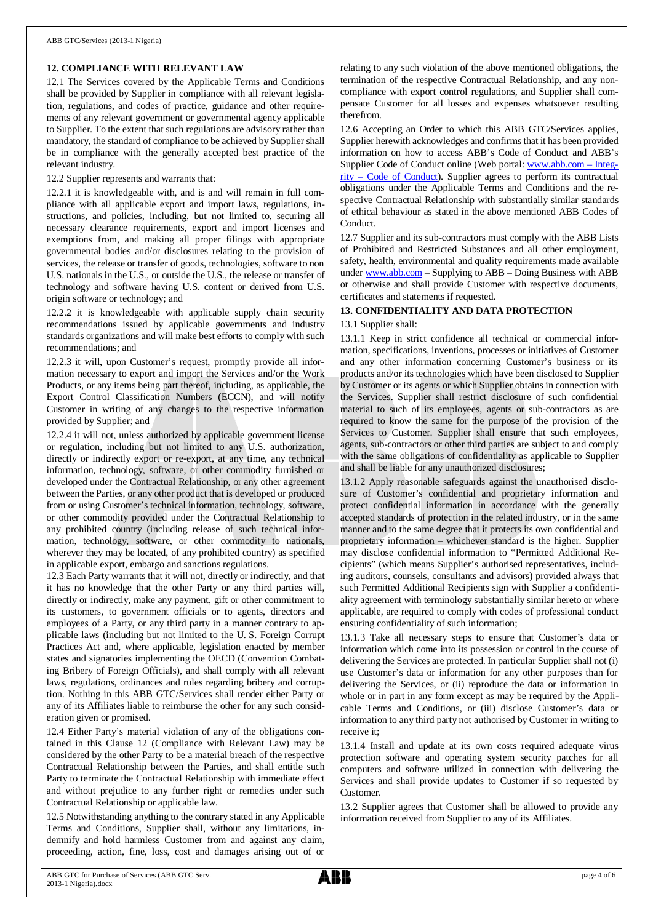# **12. COMPLIANCE WITH RELEVANT LAW**

12.1 The Services covered by the Applicable Terms and Conditions shall be provided by Supplier in compliance with all relevant legislation, regulations, and codes of practice, guidance and other requirements of any relevant government or governmental agency applicable to Supplier. To the extent that such regulations are advisory rather than mandatory, the standard of compliance to be achieved by Supplier shall be in compliance with the generally accepted best practice of the relevant industry.

12.2 Supplier represents and warrants that:

12.2.1 it is knowledgeable with, and is and will remain in full compliance with all applicable export and import laws, regulations, instructions, and policies, including, but not limited to, securing all necessary clearance requirements, export and import licenses and exemptions from, and making all proper filings with appropriate governmental bodies and/or disclosures relating to the provision of services, the release or transfer of goods, technologies, software to non U.S. nationals in the U.S., or outside the U.S., the release or transfer of technology and software having U.S. content or derived from U.S. origin software or technology; and

12.2.2 it is knowledgeable with applicable supply chain security recommendations issued by applicable governments and industry standards organizations and will make best efforts to comply with such recommendations; and

12.2.3 it will, upon Customer's request, promptly provide all information necessary to export and import the Services and/or the Work Products, or any items being part thereof, including, as applicable, the Export Control Classification Numbers (ECCN), and will notify Customer in writing of any changes to the respective information provided by Supplier; and

12.2.4 it will not, unless authorized by applicable government license or regulation, including but not limited to any U.S. authorization, directly or indirectly export or re-export, at any time, any technical information, technology, software, or other commodity furnished or developed under the Contractual Relationship, or any other agreement between the Parties, or any other product that is developed or produced from or using Customer's technical information, technology, software, or other commodity provided under the Contractual Relationship to any prohibited country (including release of such technical information, technology, software, or other commodity to nationals, wherever they may be located, of any prohibited country) as specified in applicable export, embargo and sanctions regulations.

12.3 Each Party warrants that it will not, directly or indirectly, and that it has no knowledge that the other Party or any third parties will, directly or indirectly, make any payment, gift or other commitment to its customers, to government officials or to agents, directors and employees of a Party, or any third party in a manner contrary to applicable laws (including but not limited to the U. S. Foreign Corrupt Practices Act and, where applicable, legislation enacted by member states and signatories implementing the OECD (Convention Combating Bribery of Foreign Officials), and shall comply with all relevant laws, regulations, ordinances and rules regarding bribery and corruption. Nothing in this ABB GTC/Services shall render either Party or any of its Affiliates liable to reimburse the other for any such consideration given or promised.

12.4 Either Party's material violation of any of the obligations contained in this Clause 12 (Compliance with Relevant Law) may be considered by the other Party to be a material breach of the respective Contractual Relationship between the Parties, and shall entitle such Party to terminate the Contractual Relationship with immediate effect and without prejudice to any further right or remedies under such Contractual Relationship or applicable law.

12.5 Notwithstanding anything to the contrary stated in any Applicable Terms and Conditions, Supplier shall, without any limitations, indemnify and hold harmless Customer from and against any claim, proceeding, action, fine, loss, cost and damages arising out of or

relating to any such violation of the above mentioned obligations, the termination of the respective Contractual Relationship, and any noncompliance with export control regulations, and Supplier shall compensate Customer for all losses and expenses whatsoever resulting therefrom.

12.6 Accepting an Order to which this ABB GTC/Services applies, Supplier herewith acknowledges and confirms that it has been provided information on how to access ABB's Code of Conduct and ABB's Supplier Code of Conduct online (Web portal: [www.abb.com](http://www.abb.com/) – Integrity – Code of Conduct). Supplier agrees to perform its contractual obligations under the Applicable Terms and Conditions and the respective Contractual Relationship with substantially similar standards of ethical behaviour as stated in the above mentioned ABB Codes of Conduct.

12.7 Supplier and its sub-contractors must comply with the ABB Lists of Prohibited and Restricted Substances and all other employment, safety, health, environmental and quality requirements made available under [www.abb.com](http://www.abb.com/) – Supplying to ABB – Doing Business with ABB or otherwise and shall provide Customer with respective documents, certificates and statements if requested.

#### **13. CONFIDENTIALITY AND DATA PROTECTION**

#### 13.1 Supplier shall:

13.1.1 Keep in strict confidence all technical or commercial information, specifications, inventions, processes or initiatives of Customer and any other information concerning Customer's business or its products and/or its technologies which have been disclosed to Supplier by Customer or its agents or which Supplier obtains in connection with the Services. Supplier shall restrict disclosure of such confidential material to such of its employees, agents or sub-contractors as are required to know the same for the purpose of the provision of the Services to Customer. Supplier shall ensure that such employees, agents, sub-contractors or other third parties are subject to and comply with the same obligations of confidentiality as applicable to Supplier and shall be liable for any unauthorized disclosures;

13.1.2 Apply reasonable safeguards against the unauthorised disclosure of Customer's confidential and proprietary information and protect confidential information in accordance with the generally accepted standards of protection in the related industry, or in the same manner and to the same degree that it protects its own confidential and proprietary information – whichever standard is the higher. Supplier may disclose confidential information to "Permitted Additional Recipients" (which means Supplier's authorised representatives, including auditors, counsels, consultants and advisors) provided always that such Permitted Additional Recipients sign with Supplier a confidentiality agreement with terminology substantially similar hereto or where applicable, are required to comply with codes of professional conduct ensuring confidentiality of such information;

13.1.3 Take all necessary steps to ensure that Customer's data or information which come into its possession or control in the course of delivering the Services are protected. In particular Supplier shall not (i) use Customer's data or information for any other purposes than for delivering the Services, or (ii) reproduce the data or information in whole or in part in any form except as may be required by the Applicable Terms and Conditions, or (iii) disclose Customer's data or information to any third party not authorised by Customer in writing to receive it;

13.1.4 Install and update at its own costs required adequate virus protection software and operating system security patches for all computers and software utilized in connection with delivering the Services and shall provide updates to Customer if so requested by Customer.

13.2 Supplier agrees that Customer shall be allowed to provide any information received from Supplier to any of its Affiliates.

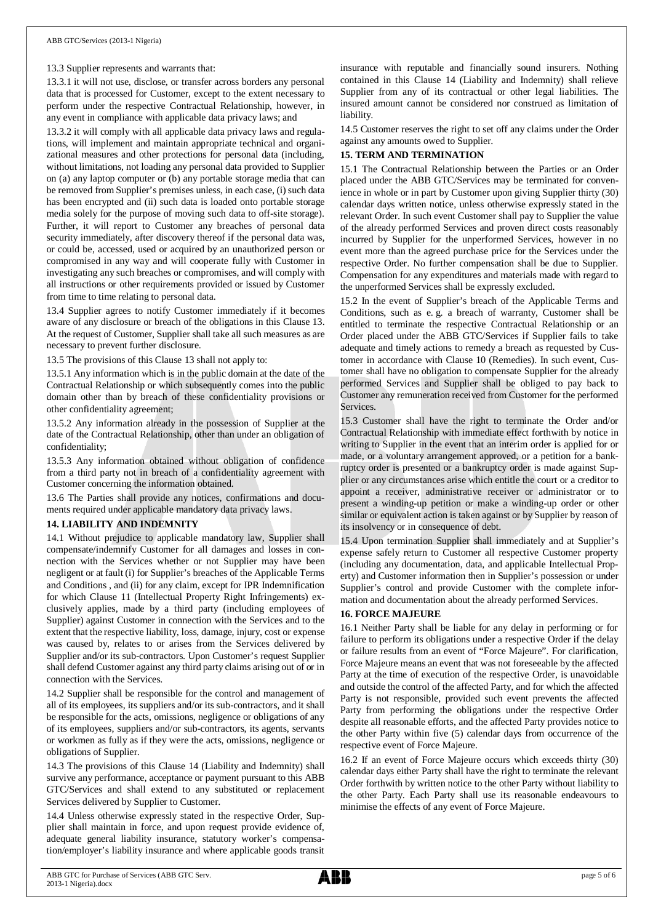#### 13.3 Supplier represents and warrants that:

13.3.1 it will not use, disclose, or transfer across borders any personal data that is processed for Customer, except to the extent necessary to perform under the respective Contractual Relationship, however, in any event in compliance with applicable data privacy laws; and

13.3.2 it will comply with all applicable data privacy laws and regulations, will implement and maintain appropriate technical and organizational measures and other protections for personal data (including, without limitations, not loading any personal data provided to Supplier on (a) any laptop computer or (b) any portable storage media that can be removed from Supplier's premises unless, in each case, (i) such data has been encrypted and (ii) such data is loaded onto portable storage media solely for the purpose of moving such data to off-site storage). Further, it will report to Customer any breaches of personal data security immediately, after discovery thereof if the personal data was, or could be, accessed, used or acquired by an unauthorized person or compromised in any way and will cooperate fully with Customer in investigating any such breaches or compromises, and will comply with all instructions or other requirements provided or issued by Customer from time to time relating to personal data.

13.4 Supplier agrees to notify Customer immediately if it becomes aware of any disclosure or breach of the obligations in this Clause 13. At the request of Customer, Supplier shall take all such measures as are necessary to prevent further disclosure.

13.5 The provisions of this Clause 13 shall not apply to:

13.5.1 Any information which is in the public domain at the date of the Contractual Relationship or which subsequently comes into the public domain other than by breach of these confidentiality provisions or other confidentiality agreement;

13.5.2 Any information already in the possession of Supplier at the date of the Contractual Relationship, other than under an obligation of confidentiality;

13.5.3 Any information obtained without obligation of confidence from a third party not in breach of a confidentiality agreement with Customer concerning the information obtained.

13.6 The Parties shall provide any notices, confirmations and documents required under applicable mandatory data privacy laws.

#### **14. LIABILITY AND INDEMNITY**

14.1 Without prejudice to applicable mandatory law, Supplier shall compensate/indemnify Customer for all damages and losses in connection with the Services whether or not Supplier may have been negligent or at fault (i) for Supplier's breaches of the Applicable Terms and Conditions , and (ii) for any claim, except for IPR Indemnification for which Clause 11 (Intellectual Property Right Infringements) exclusively applies, made by a third party (including employees of Supplier) against Customer in connection with the Services and to the extent that the respective liability, loss, damage, injury, cost or expense was caused by, relates to or arises from the Services delivered by Supplier and/or its sub-contractors. Upon Customer's request Supplier shall defend Customer against any third party claims arising out of or in connection with the Services.

14.2 Supplier shall be responsible for the control and management of all of its employees, its suppliers and/or its sub-contractors, and it shall be responsible for the acts, omissions, negligence or obligations of any of its employees, suppliers and/or sub-contractors, its agents, servants or workmen as fully as if they were the acts, omissions, negligence or obligations of Supplier.

14.3 The provisions of this Clause 14 (Liability and Indemnity) shall survive any performance, acceptance or payment pursuant to this ABB GTC/Services and shall extend to any substituted or replacement Services delivered by Supplier to Customer.

14.4 Unless otherwise expressly stated in the respective Order, Supplier shall maintain in force, and upon request provide evidence of, adequate general liability insurance, statutory worker's compensation/employer's liability insurance and where applicable goods transit

insurance with reputable and financially sound insurers. Nothing contained in this Clause 14 (Liability and Indemnity) shall relieve Supplier from any of its contractual or other legal liabilities. The insured amount cannot be considered nor construed as limitation of liability.

14.5 Customer reserves the right to set off any claims under the Order against any amounts owed to Supplier.

#### **15. TERM AND TERMINATION**

15.1 The Contractual Relationship between the Parties or an Order placed under the ABB GTC/Services may be terminated for convenience in whole or in part by Customer upon giving Supplier thirty (30) calendar days written notice, unless otherwise expressly stated in the relevant Order. In such event Customer shall pay to Supplier the value of the already performed Services and proven direct costs reasonably incurred by Supplier for the unperformed Services, however in no event more than the agreed purchase price for the Services under the respective Order. No further compensation shall be due to Supplier. Compensation for any expenditures and materials made with regard to the unperformed Services shall be expressly excluded.

15.2 In the event of Supplier's breach of the Applicable Terms and Conditions, such as e. g. a breach of warranty, Customer shall be entitled to terminate the respective Contractual Relationship or an Order placed under the ABB GTC/Services if Supplier fails to take adequate and timely actions to remedy a breach as requested by Customer in accordance with Clause 10 (Remedies). In such event, Customer shall have no obligation to compensate Supplier for the already performed Services and Supplier shall be obliged to pay back to Customer any remuneration received from Customer for the performed **Services** 

15.3 Customer shall have the right to terminate the Order and/or Contractual Relationship with immediate effect forthwith by notice in writing to Supplier in the event that an interim order is applied for or made, or a voluntary arrangement approved, or a petition for a bankruptcy order is presented or a bankruptcy order is made against Supplier or any circumstances arise which entitle the court or a creditor to appoint a receiver, administrative receiver or administrator or to present a winding-up petition or make a winding-up order or other similar or equivalent action is taken against or by Supplier by reason of its insolvency or in consequence of debt.

15.4 Upon termination Supplier shall immediately and at Supplier's expense safely return to Customer all respective Customer property (including any documentation, data, and applicable Intellectual Property) and Customer information then in Supplier's possession or under Supplier's control and provide Customer with the complete information and documentation about the already performed Services.

#### **16. FORCE MAJEURE**

16.1 Neither Party shall be liable for any delay in performing or for failure to perform its obligations under a respective Order if the delay or failure results from an event of "Force Majeure". For clarification, Force Majeure means an event that was not foreseeable by the affected Party at the time of execution of the respective Order, is unavoidable and outside the control of the affected Party, and for which the affected Party is not responsible, provided such event prevents the affected Party from performing the obligations under the respective Order despite all reasonable efforts, and the affected Party provides notice to the other Party within five (5) calendar days from occurrence of the respective event of Force Majeure.

16.2 If an event of Force Majeure occurs which exceeds thirty (30) calendar days either Party shall have the right to terminate the relevant Order forthwith by written notice to the other Party without liability to the other Party. Each Party shall use its reasonable endeavours to minimise the effects of any event of Force Majeure.